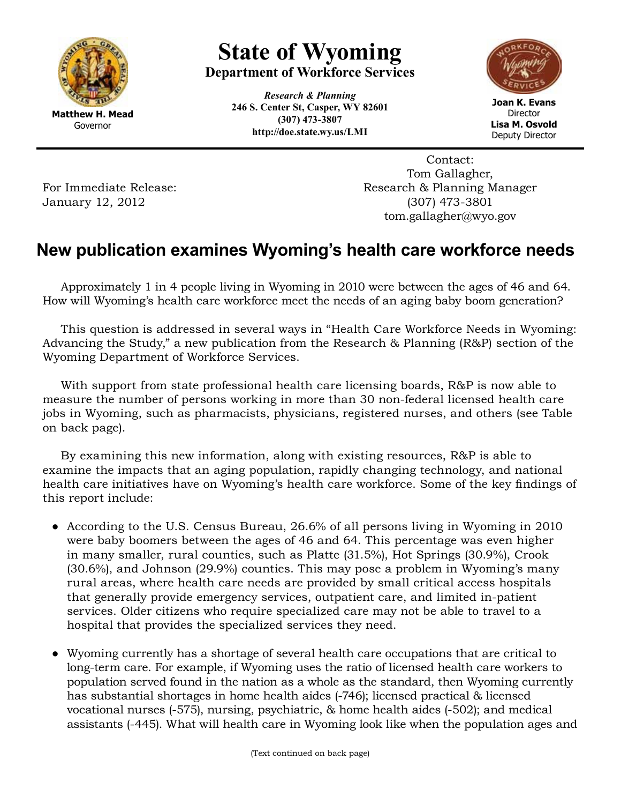

## **State of Wyoming Department of Workforce Services**

*Research & Planning* **246 S. Center St, Casper, WY 82601 (307) 473-3807 http://doe.state.wy.us/LMI**



**Joan K. Evans Director Lisa M. Osvold** Deputy Director

For Immediate Release: January 12, 2012

Contact: Tom Gallagher, Research & Planning Manager (307) 473-3801 tom.gallagher@wyo.gov

## **New publication examines Wyoming's health care workforce needs**

Approximately 1 in 4 people living in Wyoming in 2010 were between the ages of 46 and 64. How will Wyoming's health care workforce meet the needs of an aging baby boom generation?

This question is addressed in several ways in "Health Care Workforce Needs in Wyoming: Advancing the Study," a new publication from the Research & Planning (R&P) section of the Wyoming Department of Workforce Services.

With support from state professional health care licensing boards, R&P is now able to measure the number of persons working in more than 30 non-federal licensed health care jobs in Wyoming, such as pharmacists, physicians, registered nurses, and others (see Table on back page).

By examining this new information, along with existing resources, R&P is able to examine the impacts that an aging population, rapidly changing technology, and national health care initiatives have on Wyoming's health care workforce. Some of the key findings of this report include:

- According to the U.S. Census Bureau, 26.6% of all persons living in Wyoming in 2010 were baby boomers between the ages of 46 and 64. This percentage was even higher in many smaller, rural counties, such as Platte (31.5%), Hot Springs (30.9%), Crook (30.6%), and Johnson (29.9%) counties. This may pose a problem in Wyoming's many rural areas, where health care needs are provided by small critical access hospitals that generally provide emergency services, outpatient care, and limited in-patient services. Older citizens who require specialized care may not be able to travel to a hospital that provides the specialized services they need.
- Wyoming currently has a shortage of several health care occupations that are critical to long-term care. For example, if Wyoming uses the ratio of licensed health care workers to population served found in the nation as a whole as the standard, then Wyoming currently has substantial shortages in home health aides (-746); licensed practical & licensed vocational nurses (-575), nursing, psychiatric, & home health aides (-502); and medical assistants (-445). What will health care in Wyoming look like when the population ages and